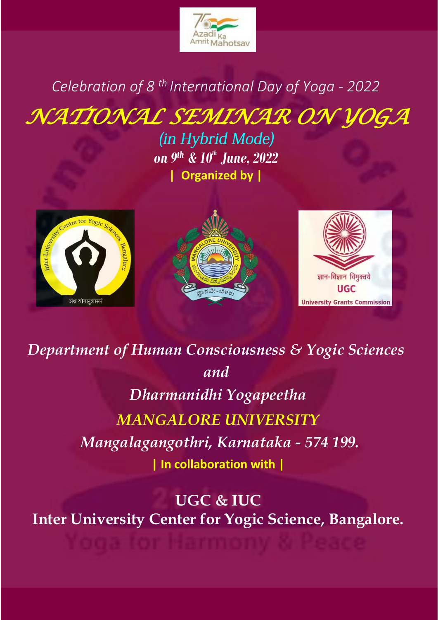

# *Celebration of 8 th International Day of Yoga - 2022*

*NATIONAL SEMINAR ON YOGA* 

(in Hybrid Mode) *on 9th & 10th June, 2022* **| Organized by |**







*Department of Human Consciousness & Yogic Sciences and Dharmanidhi Yogapeetha MANGALORE UNIVERSITY Mangalagangothri, Karnataka - 574 199.* **| In collaboration with |**

**UGC & IUC Inter University Center for Yogic Science, Bangalore.**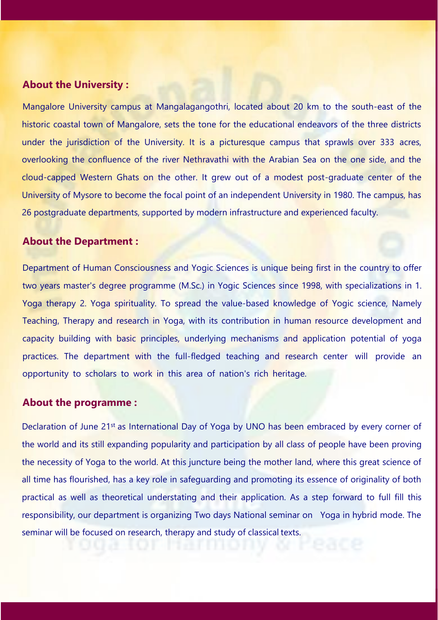#### **About the University :**

Mangalore University campus at Mangalagangothri, located about 20 km to the south-east of the historic coastal town of Mangalore, sets the tone for the educational endeavors of the three districts under the jurisdiction of the University. It is a picturesque campus that sprawls over 333 acres, overlooking the confluence of the river Nethravathi with the Arabian Sea on the one side, and the cloud-capped Western Ghats on the other. It grew out of a modest post-graduate center of the University of Mysore to become the focal point of an independent University in 1980. The campus, has 26 postgraduate departments, supported by modern infrastructure and experienced faculty.

#### **About the Department :**

Department of Human Consciousness and Yogic Sciences is unique being first in the country to offer two years master's degree programme (M.Sc.) in Yogic Sciences since 1998, with specializations in 1. Yoga therapy 2. Yoga spirituality. To spread the value-based knowledge of Yogic science, Namely Teaching, Therapy and research in Yoga, with its contribution in human resource development and capacity building with basic principles, underlying mechanisms and application potential of yoga practices. The department with the full-fledged teaching and research center will provide an opportunity to scholars to work in this area of nation's rich heritage.

#### **About the programme :**

Declaration of June 21<sup>st</sup> as International Day of Yoga by UNO has been embraced by every corner of the world and its still expanding popularity and participation by all class of people have been proving the necessity of Yoga to the world. At this juncture being the mother land, where this great science of all time has flourished, has a key role in safeguarding and promoting its essence of originality of both practical as well as theoretical understating and their application. As a step forward to full fill this responsibility, our department is organizing Two days National seminar on Yoga in hybrid mode. The seminar will be focused on research, [therapy and study of class](https://bit.ly/2TMj2x0)ical texts.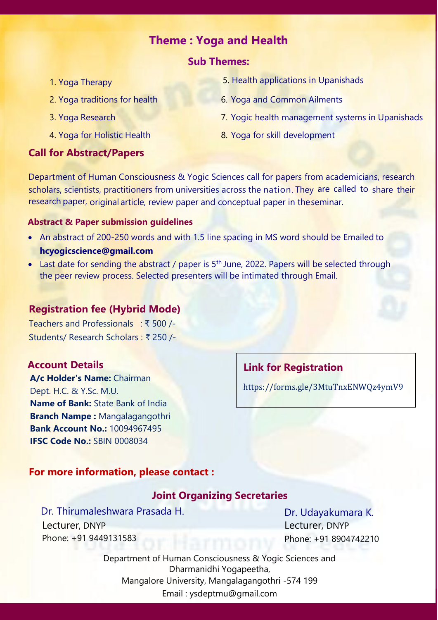# **Theme : Yoga and Health**

#### **Sub Themes:**

- 1. Yoga Therapy
- 2. Yoga traditions for health
- 3. Yoga Research
- 4. Yoga for Holistic Health

#### **Call for Abstract/Papers**

- 5. Health applications in Upanishads
- 6. Yoga and Common Ailments
- 7. Yogic health management systems in Upanishads
- 8. Yoga for skill development

Department of Human Consciousness & Yogic Sciences call for papers from academicians, research scholars, scientists, practitioners from universities across the nation. They are called to share their research paper, original article, review paper and conceptual paper in theseminar.

#### **Abstract & Paper submission guidelines**

- An abstract of 200-250 words and with 1.5 line spacing in MS word should be Emailed to **[hcyogicscience@gmail.com](mailto:hcyogicscience@gmail.com)**
- [Last date for sending the abstract /](mailto:hcyogicscience@gmail.com) paper is 5<sup>th</sup> June, 2022. Papers will be selected through the peer review process. Selected presenters will be intimated through Email.

#### **Registration fee (Hybrid Mode)**

Teachers and Professionals : ₹ 500 /- Students/ Research Scholars : ₹ 250 /-

#### **Account Details**

**A/c Holder's Name:** Chairman Dept. H.C. & Y.Sc. M.U. **Name of Bank:** State Bank of India **Branch Nampe :** Mangalagangothri **Bank Account No.:** 10094967495 **IFSC Code No.:** SBIN 0008034

# **Link for Registration**

<https://forms.gle/3MtuTnxENWQz4ymV9>

#### **For more information, please contact :**

## **Joint Organizing Secretaries**

Dr. Thirumaleshwara Prasada H. Lecturer, DNYP Phone: +91 9449131583

Dr. Udayakumara K. Lecturer, DNYP Phone: +91 8904742210

Department of Human Consciousness & Yogic Sciences and Dharmanidhi Yogapeetha, Mangalore University, Mangalagangothri -574 199 Email : [ysdeptmu@gmail.com](mailto:ysdeptmu@gmail.com)